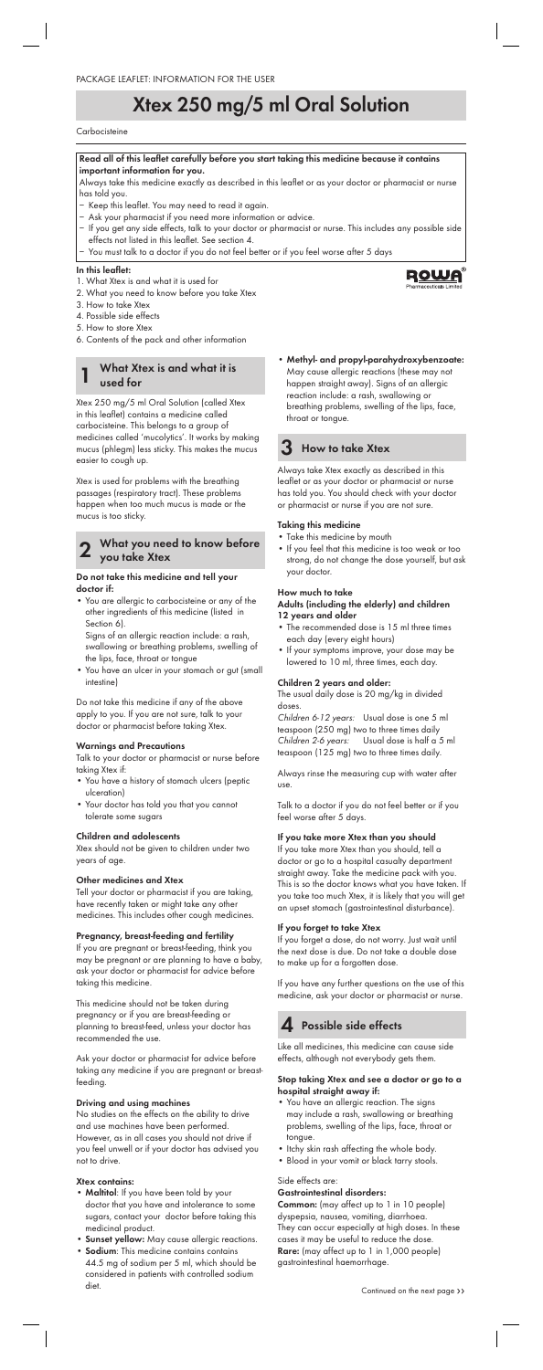#### **Read all of this leaflet carefully before you start taking this medicine because it contains important information for you.**

- − Keep this leaflet. You may need to read it again.
- Ask your pharmacist if you need more information or advice.
- − If you get any side effects, talk to your doctor or pharmacist or nurse. This includes any possible side effects not listed in this leaflet. See section 4.
- You must talk to a doctor if you do not feel better or if you feel worse after 5 days

Always take this medicine exactly as described in this leaflet or as your doctor or pharmacist or nurse has told you.

#### **In this leaflet:**

- 1. What Xtex is and what it is used for
- 2. What you need to know before you take Xtex
- 3. How to take Xtex
- 4. Possible side effects
- 5. How to store Xtex
- 6. Contents of the pack and other information

# **Xtex 250 mg/5 ml Oral Solution**

#### **Carbocisteine**

### **1 What Xtex is and what it is used for**

Xtex 250 mg/5 ml Oral Solution (called Xtex in this leaflet) contains a medicine called carbocisteine. This belongs to a group of medicines called 'mucolytics'. It works by making mucus (phlegm) less sticky. This makes the mucus easier to cough up.

Xtex is used for problems with the breathing passages (respiratory tract). These problems happen when too much mucus is made or the mucus is too sticky.

## **2 What you need to know before you take Xtex**

#### **Do not take this medicine and tell your doctor if:**

• You are allergic to carbocisteine or any of the other ingredients of this medicine (listed in Section 6).

 Signs of an allergic reaction include: a rash, swallowing or breathing problems, swelling of the lips, face, throat or tongue

• You have an ulcer in your stomach or gut (small intestine)

Do not take this medicine if any of the above apply to you. If you are not sure, talk to your doctor or pharmacist before taking Xtex.

#### **Warnings and Precautions**

Talk to your doctor or pharmacist or nurse before taking Xtex if:

- You have a history of stomach ulcers (peptic ulceration)
- Your doctor has told you that you cannot tolerate some sugars

#### **Children and adolescents**

Xtex should not be given to children under two years of age.

#### **Other medicines and Xtex**

Tell your doctor or pharmacist if you are taking, have recently taken or might take any other medicines. This includes other cough medicines.

#### **Pregnancy, breast-feeding and fertility**

If you are pregnant or breast-feeding, think you may be pregnant or are planning to have a baby, ask your doctor or pharmacist for advice before taking this medicine.

This medicine should not be taken during pregnancy or if you are breast-feeding or planning to breast-feed, unless your doctor has recommended the use.

Ask your doctor or pharmacist for advice before taking any medicine if you are pregnant or breastfeeding.

#### **Driving and using machines**

No studies on the effects on the ability to drive and use machines have been performed. However, as in all cases you should not drive if you feel unwell or if your doctor has advised you not to drive.

#### **Xtex contains:**

- **Maltitol**: If you have been told by your doctor that you have and intolerance to some sugars, contact your doctor before taking this medicinal product.
- **Sunset yellow:** May cause allergic reactions.
- **Sodium**: This medicine contains contains 44.5 mg of sodium per 5 ml, which should be considered in patients with controlled sodium diet.

• **Methyl- and propyl-parahydroxybenzoate:**  May cause allergic reactions (these may not happen straight away). Signs of an allergic reaction include: a rash, swallowing or breathing problems, swelling of the lips, face, throat or tongue.

# **3 How to take Xtex**

Always take Xtex exactly as described in this leaflet or as your doctor or pharmacist or nurse has told you. You should check with your doctor or pharmacist or nurse if you are not sure.

#### **Taking this medicine**

- Take this medicine by mouth
- If you feel that this medicine is too weak or too strong, do not change the dose yourself, but ask your doctor.

# **How much to take**

#### **Adults (including the elderly) and children 12 years and older**

- The recommended dose is 15 ml three times each day (every eight hours)
- If your symptoms improve, your dose may be lowered to 10 ml, three times, each day.

#### **Children 2 years and older:**

The usual daily dose is 20 mg/kg in divided doses.

Children 6-12 years: Usual dose is one 5 ml teaspoon (250 mg) two to three times daily Children 2-6 years: Usual dose is half a 5 ml teaspoon (125 mg) two to three times daily.

Always rinse the measuring cup with water after use.

Talk to a doctor if you do not feel better or if you feel worse after 5 days.

#### **If you take more Xtex than you should**

If you take more Xtex than you should, tell a doctor or go to a hospital casualty department straight away. Take the medicine pack with you. This is so the doctor knows what you have taken. If you take too much Xtex, it is likely that you will get an upset stomach (gastrointestinal disturbance).

#### **If you forget to take Xtex**

If you forget a dose, do not worry. Just wait until the next dose is due. Do not take a double dose to make up for a forgotten dose.

If you have any further questions on the use of this medicine, ask your doctor or pharmacist or nurse.



# **4 Possible side effects**

Like all medicines, this medicine can cause side effects, although not everybody gets them.

#### **Stop taking Xtex and see a doctor or go to a hospital straight away if:**

- You have an allergic reaction. The signs may include a rash, swallowing or breathing problems, swelling of the lips, face, throat or tongue.
- Itchy skin rash affecting the whole body.
- Blood in your vomit or black tarry stools.

#### Side effects are:

#### **Gastrointestinal disorders:**

**Common:** (may affect up to 1 in 10 people) dyspepsia, nausea, vomiting, diarrhoea. They can occur especially at high doses. In these cases it may be useful to reduce the dose. **Rare:** (may affect up to 1 in 1,000 people) gastrointestinal haemorrhage.